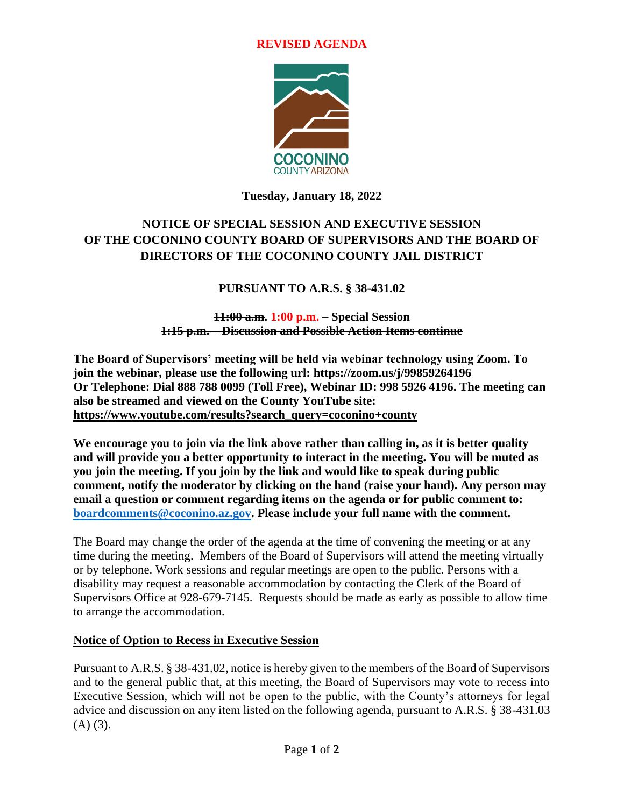### **REVISED AGENDA**



### **Tuesday, January 18, 2022**

# **NOTICE OF SPECIAL SESSION AND EXECUTIVE SESSION OF THE COCONINO COUNTY BOARD OF SUPERVISORS AND THE BOARD OF DIRECTORS OF THE COCONINO COUNTY JAIL DISTRICT**

## **PURSUANT TO A.R.S. § 38-431.02**

**11:00 a.m. 1:00 p.m. – Special Session 1:15 p.m. – Discussion and Possible Action Items continue**

**The Board of Supervisors' meeting will be held via webinar technology using Zoom. To join the webinar, please use the following url: https://zoom.us/j/99859264196 Or Telephone: Dial 888 788 0099 (Toll Free), Webinar ID: 998 5926 4196. The meeting can also be streamed and viewed on the County YouTube site: [https://www.youtube.com/results?search\\_query=coconino+county](https://www.youtube.com/results?search_query=coconino+county)**

**We encourage you to join via the link above rather than calling in, as it is better quality and will provide you a better opportunity to interact in the meeting. You will be muted as you join the meeting. If you join by the link and would like to speak during public comment, notify the moderator by clicking on the hand (raise your hand). Any person may email a question or comment regarding items on the agenda or for public comment to: [boardcomments@coconino.az.gov.](mailto:boardcomments@coconino.az.gov) Please include your full name with the comment.** 

The Board may change the order of the agenda at the time of convening the meeting or at any time during the meeting. Members of the Board of Supervisors will attend the meeting virtually or by telephone. Work sessions and regular meetings are open to the public. Persons with a disability may request a reasonable accommodation by contacting the Clerk of the Board of Supervisors Office at 928-679-7145. Requests should be made as early as possible to allow time to arrange the accommodation.

### **Notice of Option to Recess in Executive Session**

Pursuant to A.R.S. § 38-431.02, notice is hereby given to the members of the Board of Supervisors and to the general public that, at this meeting, the Board of Supervisors may vote to recess into Executive Session, which will not be open to the public, with the County's attorneys for legal advice and discussion on any item listed on the following agenda, pursuant to A.R.S. § 38-431.03  $(A)$   $(3)$ .